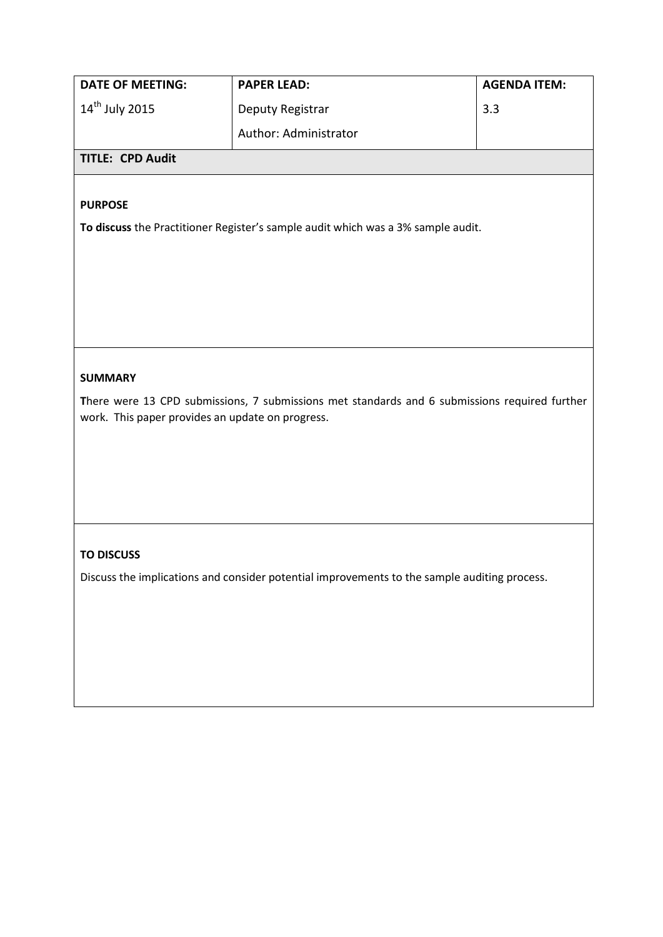| <b>DATE OF MEETING:</b>    | <b>PAPER LEAD:</b>    | <b>AGENDA ITEM:</b> |
|----------------------------|-----------------------|---------------------|
| $14^{\text{th}}$ July 2015 | Deputy Registrar      | 3.3                 |
|                            | Author: Administrator |                     |
| <b>TITLE: CPD Audit</b>    |                       |                     |

## **PURPOSE**

**To discuss** the Practitioner Register's sample audit which was a 3% sample audit.

## **SUMMARY**

**T**here were 13 CPD submissions, 7 submissions met standards and 6 submissions required further work. This paper provides an update on progress.

## **TO DISCUSS**

Discuss the implications and consider potential improvements to the sample auditing process.